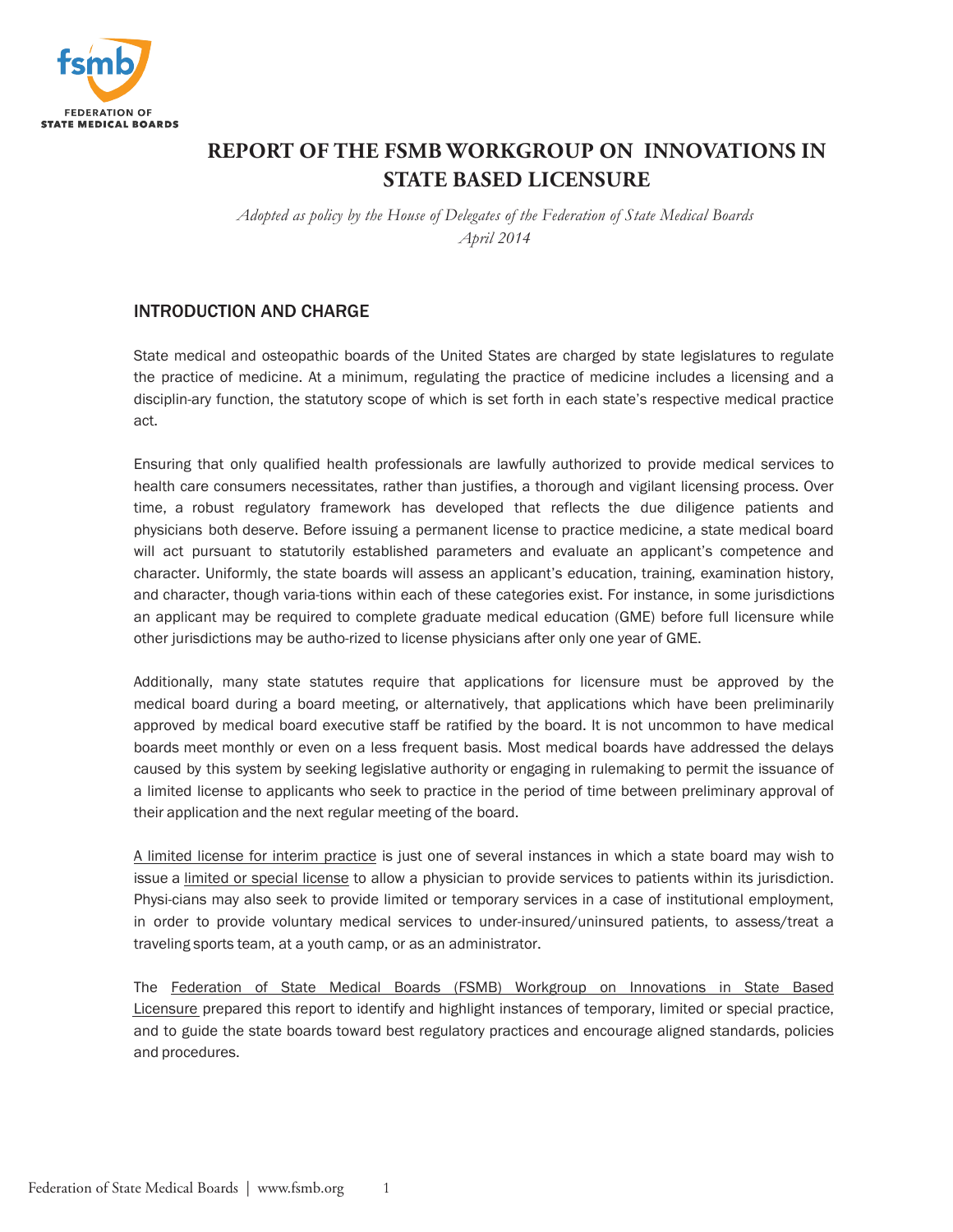

# **REPORT OF THE FSMB WORKGROUP ON INNOVATIONS IN STATE BASED LICENSURE**

*Adopted as policy by the House of Delegates of the Federation of State Medical Boards April 2014*

# INTRODUCTION AND CHARGE

State medical and osteopathic boards of the United States are charged by state legislatures to regulate the practice of medicine. At a minimum, regulating the practice of medicine includes a licensing and a disciplin-ary function, the statutory scope of which is set forth in each state's respective medical practice act.

Ensuring that only qualified health professionals are lawfully authorized to provide medical services to health care consumers necessitates, rather than justifies, a thorough and vigilant licensing process. Over time, a robust regulatory framework has developed that reflects the due diligence patients and physicians both deserve. Before issuing a permanent license to practice medicine, a state medical board will act pursuant to statutorily established parameters and evaluate an applicant's competence and character. Uniformly, the state boards will assess an applicant's education, training, examination history, and character, though varia-tions within each of these categories exist. For instance, in some jurisdictions an applicant may be required to complete graduate medical education (GME) before full licensure while other jurisdictions may be autho-rized to license physicians after only one year of GME.

Additionally, many state statutes require that applications for licensure must be approved by the medical board during a board meeting, or alternatively, that applications which have been preliminarily approved by medical board executive staff be ratified by the board. It is not uncommon to have medical boards meet monthly or even on a less frequent basis. Most medical boards have addressed the delays caused by this system by seeking legislative authority or engaging in rulemaking to permit the issuance of a limited license to applicants who seek to practice in the period of time between preliminary approval of their application and the next regular meeting of the board.

A limited license for interim practice is just one of several instances in which a state board may wish to issue a limited or special license to allow a physician to provide services to patients within its jurisdiction. Physi-cians may also seek to provide limited or temporary services in a case of institutional employment, in order to provide voluntary medical services to under-insured/uninsured patients, to assess/treat a traveling sports team, at a youth camp, or as an administrator.

The Federation of State Medical Boards (FSMB) Workgroup on Innovations in State Based Licensure prepared this report to identify and highlight instances of temporary, limited or special practice, and to guide the state boards toward best regulatory practices and encourage aligned standards, policies and procedures.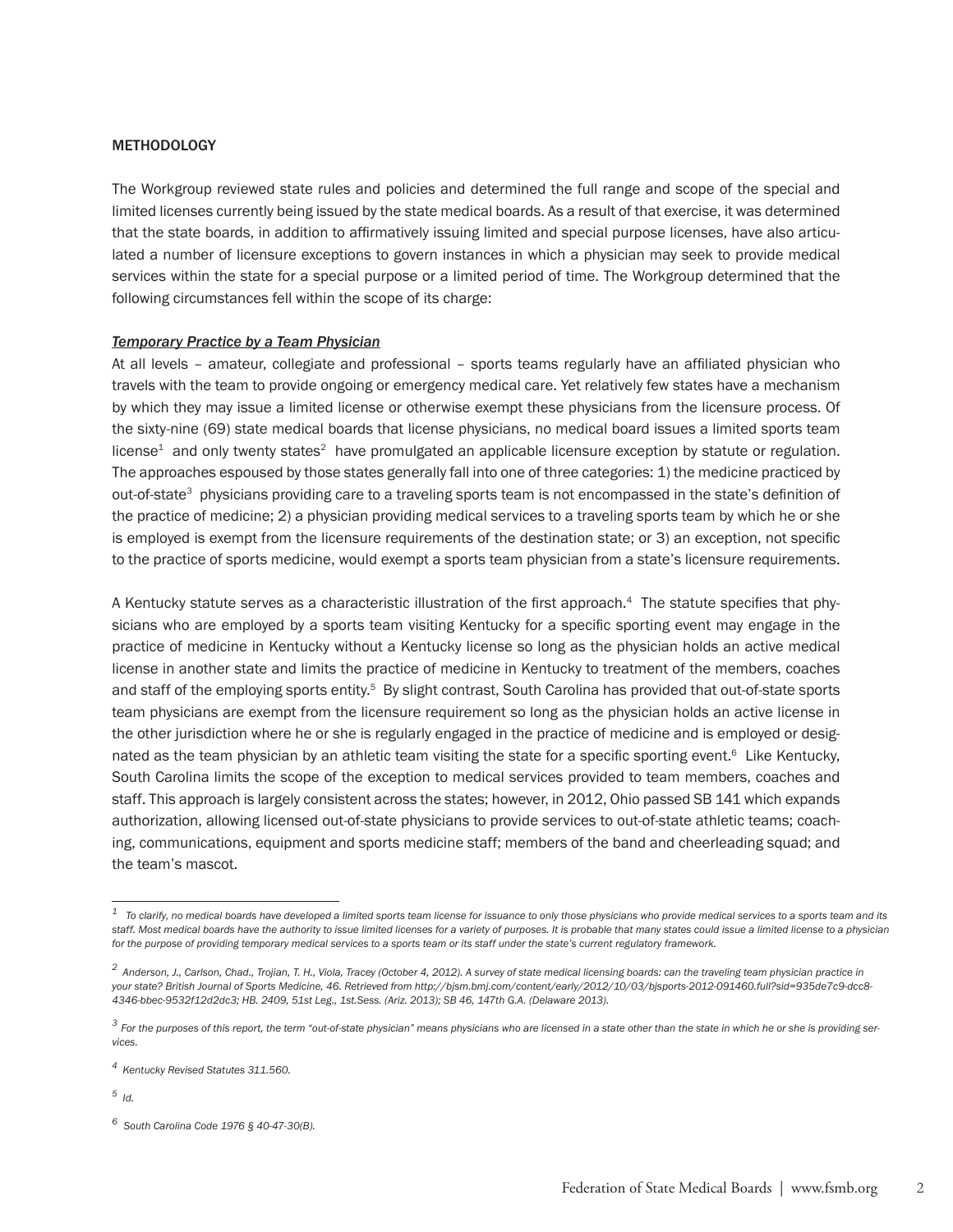#### METHODOLOGY

The Workgroup reviewed state rules and policies and determined the full range and scope of the special and limited licenses currently being issued by the state medical boards. As a result of that exercise, it was determined that the state boards, in addition to affirmatively issuing limited and special purpose licenses, have also articulated a number of licensure exceptions to govern instances in which a physician may seek to provide medical services within the state for a special purpose or a limited period of time. The Workgroup determined that the following circumstances fell within the scope of its charge:

#### *Temporary Practice by a Team Physician*

At all levels – amateur, collegiate and professional – sports teams regularly have an affiliated physician who travels with the team to provide ongoing or emergency medical care. Yet relatively few states have a mechanism by which they may issue a limited license or otherwise exempt these physicians from the licensure process. Of the sixty-nine (69) state medical boards that license physicians, no medical board issues a limited sports team  $license<sup>1</sup>$  and only twenty states<sup>2</sup> have promulgated an applicable licensure exception by statute or regulation. The approaches espoused by those states generally fall into one of three categories: 1) the medicine practiced by out-of-state<sup>3</sup> physicians providing care to a traveling sports team is not encompassed in the state's definition of the practice of medicine; 2) a physician providing medical services to a traveling sports team by which he or she is employed is exempt from the licensure requirements of the destination state; or 3) an exception, not specific to the practice of sports medicine, would exempt a sports team physician from a state's licensure requirements.

A Kentucky statute serves as a characteristic illustration of the first approach.4 The statute specifies that physicians who are employed by a sports team visiting Kentucky for a specific sporting event may engage in the practice of medicine in Kentucky without a Kentucky license so long as the physician holds an active medical license in another state and limits the practice of medicine in Kentucky to treatment of the members, coaches and staff of the employing sports entity.<sup>5</sup> By slight contrast, South Carolina has provided that out-of-state sports team physicians are exempt from the licensure requirement so long as the physician holds an active license in the other jurisdiction where he or she is regularly engaged in the practice of medicine and is employed or designated as the team physician by an athletic team visiting the state for a specific sporting event.<sup>6</sup> Like Kentucky, South Carolina limits the scope of the exception to medical services provided to team members, coaches and staff. This approach is largely consistent across the states; however, in 2012, Ohio passed SB 141 which expands authorization, allowing licensed out-of-state physicians to provide services to out-of-state athletic teams; coaching, communications, equipment and sports medicine staff; members of the band and cheerleading squad; and the team's mascot.

*5 Id.*

*<sup>1</sup> To clarify, no medical boards have developed a limited sports team license for issuance to only those physicians who provide medical services to a sports team and its*  staff. Most medical boards have the authority to issue limited licenses for a variety of purposes. It is probable that many states could issue a limited license to a physician *for the purpose of providing temporary medical services to a sports team or its staff under the state's current regulatory framework.* 

*<sup>2</sup> Anderson, J., Carlson, Chad., Trojian, T. H., Viola, Tracey (October 4, 2012). A survey of state medical licensing boards: can the traveling team physician practice in your state? British Journal of Sports Medicine, 46. Retrieved from http://bjsm.bmj.com/content/early/2012/10/03/bjsports-2012-091460.full?sid=935de7c9-dcc8- 4346-bbec-9532f12d2dc3; HB. 2409, 51st Leg., 1st.Sess. (Ariz. 2013); SB 46, 147th G.A. (Delaware 2013).*

*<sup>3</sup> For the purposes of this report, the term "out-of-state physician" means physicians who are licensed in a state other than the state in which he or she is providing services.* 

*<sup>4</sup> Kentucky Revised Statutes 311.560.*

*<sup>6</sup> South Carolina Code 1976 § 40-47-30(B).*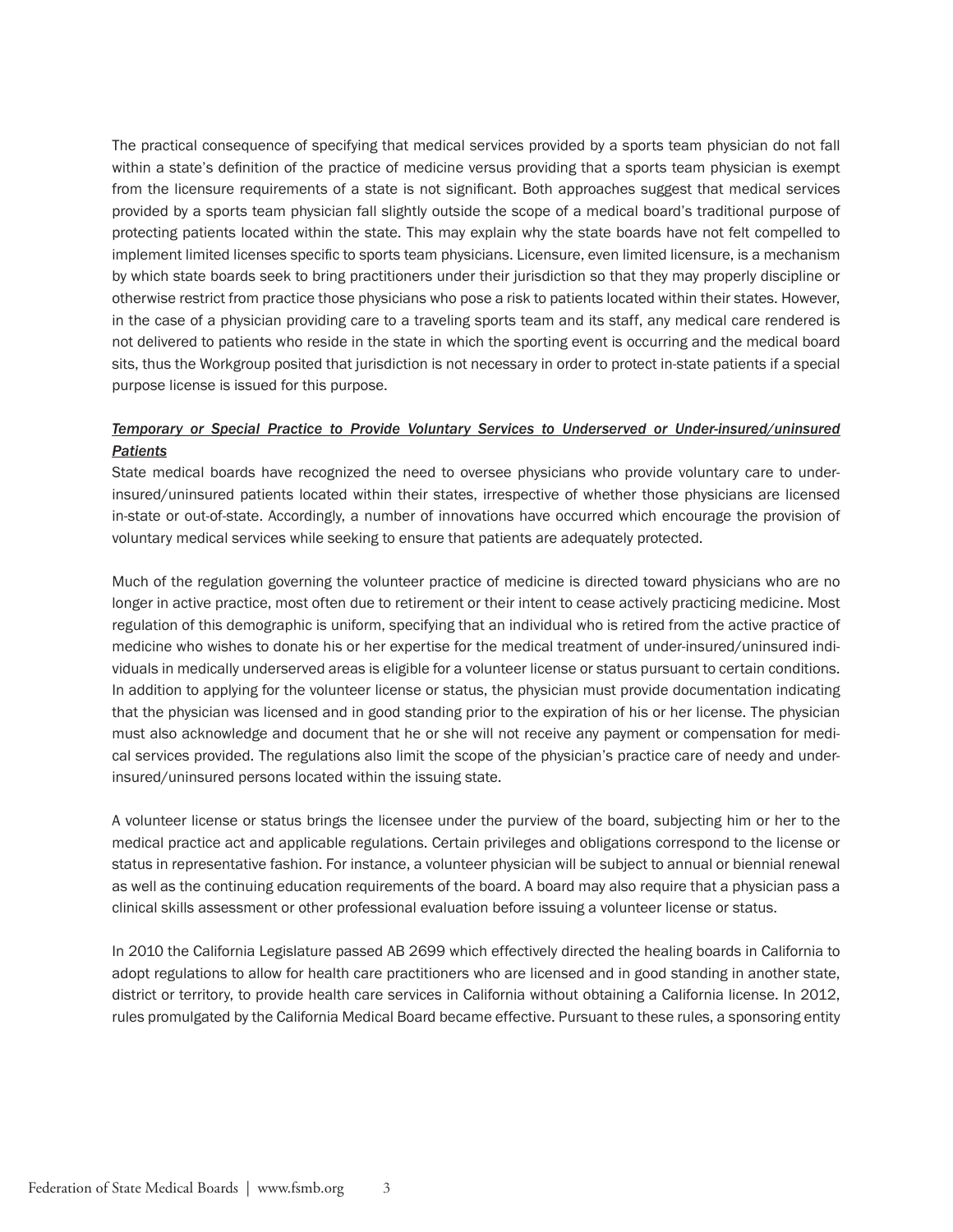The practical consequence of specifying that medical services provided by a sports team physician do not fall within a state's definition of the practice of medicine versus providing that a sports team physician is exempt from the licensure requirements of a state is not significant. Both approaches suggest that medical services provided by a sports team physician fall slightly outside the scope of a medical board's traditional purpose of protecting patients located within the state. This may explain why the state boards have not felt compelled to implement limited licenses specific to sports team physicians. Licensure, even limited licensure, is a mechanism by which state boards seek to bring practitioners under their jurisdiction so that they may properly discipline or otherwise restrict from practice those physicians who pose a risk to patients located within their states. However, in the case of a physician providing care to a traveling sports team and its staff, any medical care rendered is not delivered to patients who reside in the state in which the sporting event is occurring and the medical board sits, thus the Workgroup posited that jurisdiction is not necessary in order to protect in-state patients if a special purpose license is issued for this purpose.

## *Temporary or Special Practice to Provide Voluntary Services to Underserved or Under-insured/uninsured Patients*

State medical boards have recognized the need to oversee physicians who provide voluntary care to underinsured/uninsured patients located within their states, irrespective of whether those physicians are licensed in-state or out-of-state. Accordingly, a number of innovations have occurred which encourage the provision of voluntary medical services while seeking to ensure that patients are adequately protected.

Much of the regulation governing the volunteer practice of medicine is directed toward physicians who are no longer in active practice, most often due to retirement or their intent to cease actively practicing medicine. Most regulation of this demographic is uniform, specifying that an individual who is retired from the active practice of medicine who wishes to donate his or her expertise for the medical treatment of under-insured/uninsured individuals in medically underserved areas is eligible for a volunteer license or status pursuant to certain conditions. In addition to applying for the volunteer license or status, the physician must provide documentation indicating that the physician was licensed and in good standing prior to the expiration of his or her license. The physician must also acknowledge and document that he or she will not receive any payment or compensation for medical services provided. The regulations also limit the scope of the physician's practice care of needy and underinsured/uninsured persons located within the issuing state.

A volunteer license or status brings the licensee under the purview of the board, subjecting him or her to the medical practice act and applicable regulations. Certain privileges and obligations correspond to the license or status in representative fashion. For instance, a volunteer physician will be subject to annual or biennial renewal as well as the continuing education requirements of the board. A board may also require that a physician pass a clinical skills assessment or other professional evaluation before issuing a volunteer license or status.

In 2010 the California Legislature passed AB 2699 which effectively directed the healing boards in California to adopt regulations to allow for health care practitioners who are licensed and in good standing in another state, district or territory, to provide health care services in California without obtaining a California license. In 2012, rules promulgated by the California Medical Board became effective. Pursuant to these rules, a sponsoring entity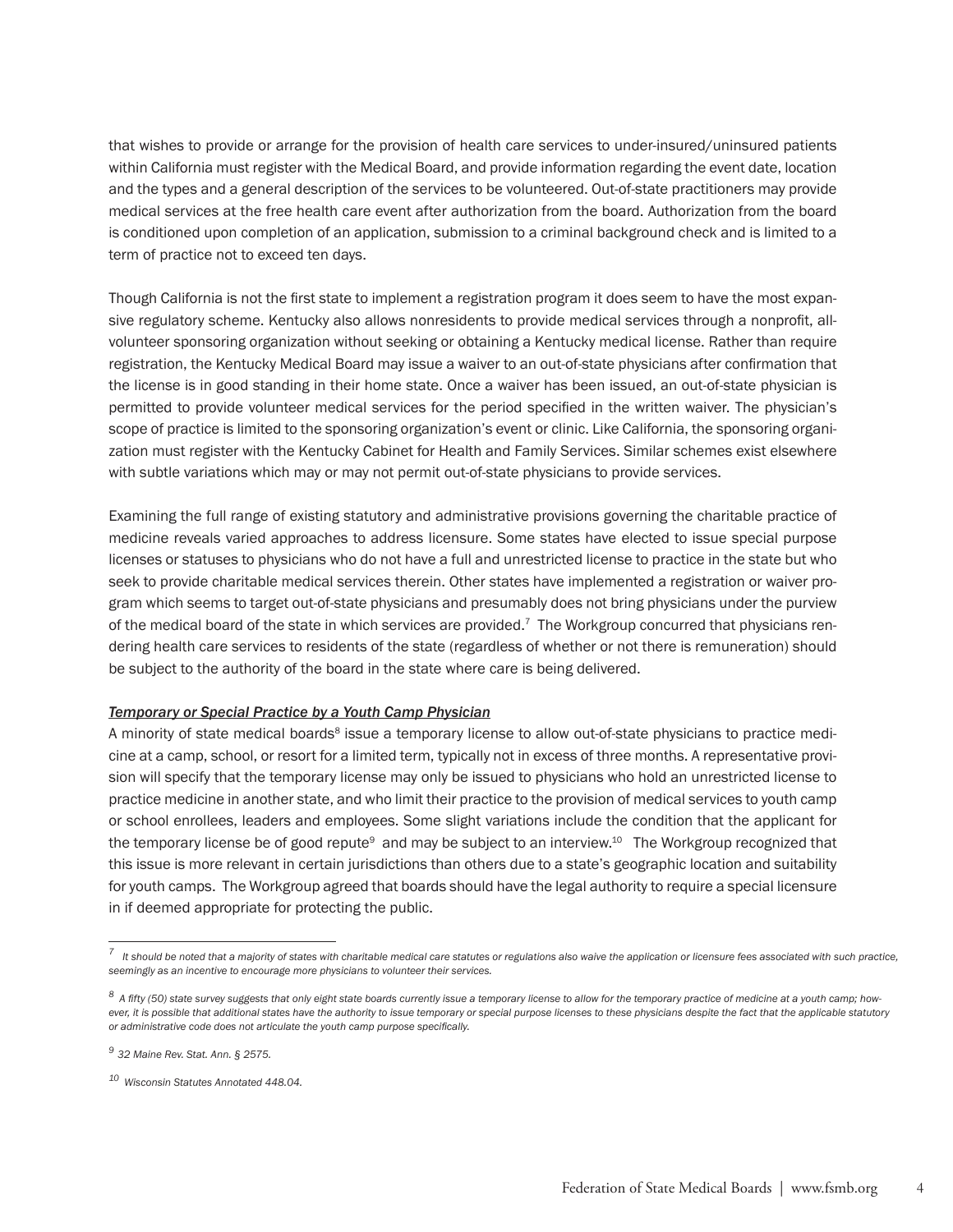that wishes to provide or arrange for the provision of health care services to under-insured/uninsured patients within California must register with the Medical Board, and provide information regarding the event date, location and the types and a general description of the services to be volunteered. Out-of-state practitioners may provide medical services at the free health care event after authorization from the board. Authorization from the board is conditioned upon completion of an application, submission to a criminal background check and is limited to a term of practice not to exceed ten days.

Though California is not the first state to implement a registration program it does seem to have the most expansive regulatory scheme. Kentucky also allows nonresidents to provide medical services through a nonprofit, allvolunteer sponsoring organization without seeking or obtaining a Kentucky medical license. Rather than require registration, the Kentucky Medical Board may issue a waiver to an out-of-state physicians after confirmation that the license is in good standing in their home state. Once a waiver has been issued, an out-of-state physician is permitted to provide volunteer medical services for the period specified in the written waiver. The physician's scope of practice is limited to the sponsoring organization's event or clinic. Like California, the sponsoring organization must register with the Kentucky Cabinet for Health and Family Services. Similar schemes exist elsewhere with subtle variations which may or may not permit out-of-state physicians to provide services.

Examining the full range of existing statutory and administrative provisions governing the charitable practice of medicine reveals varied approaches to address licensure. Some states have elected to issue special purpose licenses or statuses to physicians who do not have a full and unrestricted license to practice in the state but who seek to provide charitable medical services therein. Other states have implemented a registration or waiver program which seems to target out-of-state physicians and presumably does not bring physicians under the purview of the medical board of the state in which services are provided.7 The Workgroup concurred that physicians rendering health care services to residents of the state (regardless of whether or not there is remuneration) should be subject to the authority of the board in the state where care is being delivered.

#### *Temporary or Special Practice by a Youth Camp Physician*

A minority of state medical boards<sup>8</sup> issue a temporary license to allow out-of-state physicians to practice medicine at a camp, school, or resort for a limited term, typically not in excess of three months. A representative provision will specify that the temporary license may only be issued to physicians who hold an unrestricted license to practice medicine in another state, and who limit their practice to the provision of medical services to youth camp or school enrollees, leaders and employees. Some slight variations include the condition that the applicant for the temporary license be of good repute<sup>9</sup> and may be subject to an interview.<sup>10</sup> The Workgroup recognized that this issue is more relevant in certain jurisdictions than others due to a state's geographic location and suitability for youth camps. The Workgroup agreed that boards should have the legal authority to require a special licensure in if deemed appropriate for protecting the public.

*<sup>7</sup> It should be noted that a majority of states with charitable medical care statutes or regulations also waive the application or licensure fees associated with such practice, seemingly as an incentive to encourage more physicians to volunteer their services.*

*<sup>8</sup>A fifty (50) state survey suggests that only eight state boards currently issue a temporary license to allow for the temporary practice of medicine at a youth camp; however, it is possible that additional states have the authority to issue temporary or special purpose licenses to these physicians despite the fact that the applicable statutory or administrative code does not articulate the youth camp purpose specifically.* 

*<sup>9 32</sup> Maine Rev. Stat. Ann. § 2575.* 

*<sup>10</sup> Wisconsin Statutes Annotated 448.04.*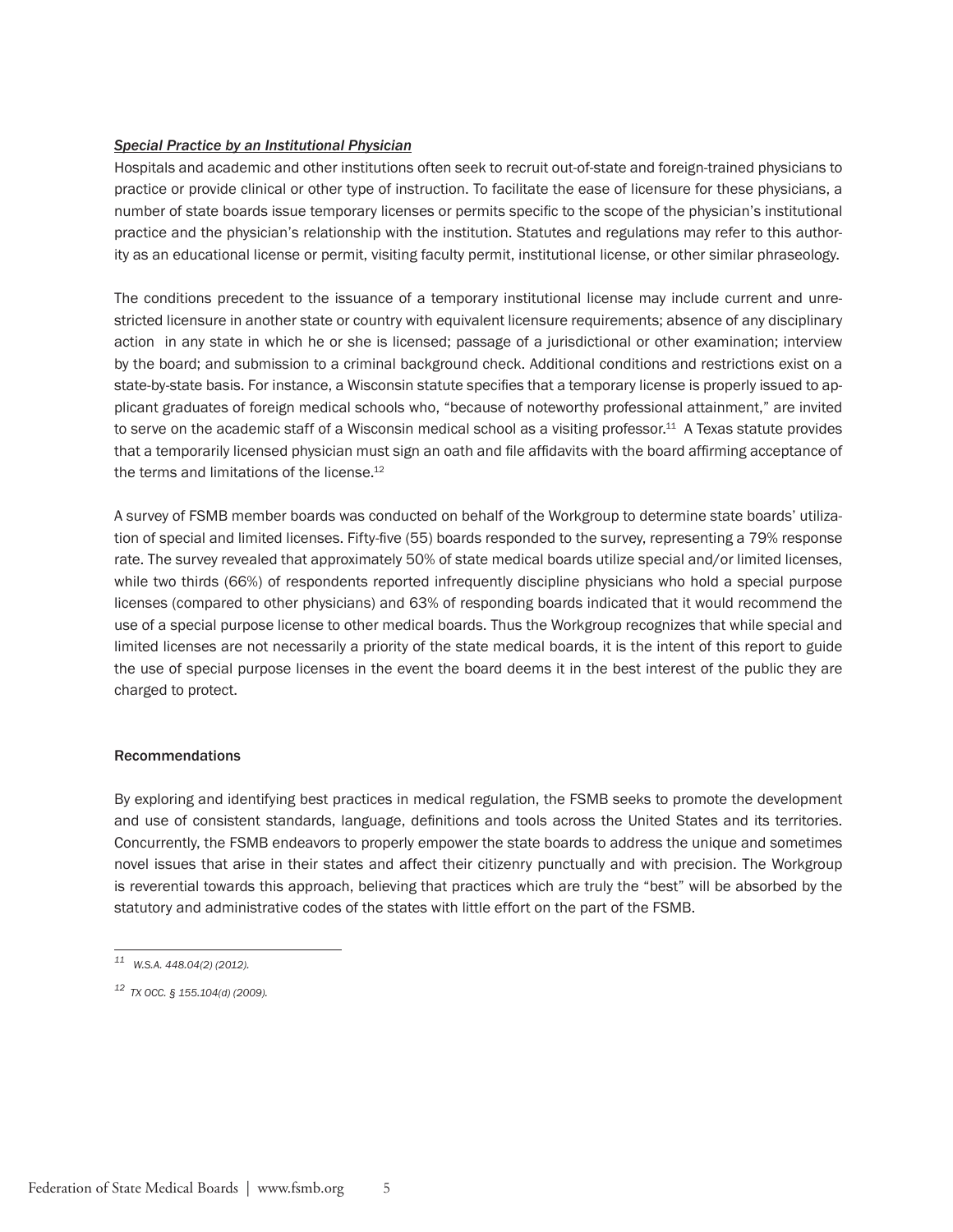## *Special Practice by an Institutional Physician*

Hospitals and academic and other institutions often seek to recruit out-of-state and foreign-trained physicians to practice or provide clinical or other type of instruction. To facilitate the ease of licensure for these physicians, a number of state boards issue temporary licenses or permits specific to the scope of the physician's institutional practice and the physician's relationship with the institution. Statutes and regulations may refer to this authority as an educational license or permit, visiting faculty permit, institutional license, or other similar phraseology.

The conditions precedent to the issuance of a temporary institutional license may include current and unrestricted licensure in another state or country with equivalent licensure requirements; absence of any disciplinary action in any state in which he or she is licensed; passage of a jurisdictional or other examination; interview by the board; and submission to a criminal background check. Additional conditions and restrictions exist on a state-by-state basis. For instance, a Wisconsin statute specifies that a temporary license is properly issued to applicant graduates of foreign medical schools who, "because of noteworthy professional attainment," are invited to serve on the academic staff of a Wisconsin medical school as a visiting professor.<sup>11</sup> A Texas statute provides that a temporarily licensed physician must sign an oath and file affidavits with the board affirming acceptance of the terms and limitations of the license.<sup>12</sup>

A survey of FSMB member boards was conducted on behalf of the Workgroup to determine state boards' utilization of special and limited licenses. Fifty-five (55) boards responded to the survey, representing a 79% response rate. The survey revealed that approximately 50% of state medical boards utilize special and/or limited licenses, while two thirds (66%) of respondents reported infrequently discipline physicians who hold a special purpose licenses (compared to other physicians) and 63% of responding boards indicated that it would recommend the use of a special purpose license to other medical boards. Thus the Workgroup recognizes that while special and limited licenses are not necessarily a priority of the state medical boards, it is the intent of this report to guide the use of special purpose licenses in the event the board deems it in the best interest of the public they are charged to protect.

#### Recommendations

By exploring and identifying best practices in medical regulation, the FSMB seeks to promote the development and use of consistent standards, language, definitions and tools across the United States and its territories. Concurrently, the FSMB endeavors to properly empower the state boards to address the unique and sometimes novel issues that arise in their states and affect their citizenry punctually and with precision. The Workgroup is reverential towards this approach, believing that practices which are truly the "best" will be absorbed by the statutory and administrative codes of the states with little effort on the part of the FSMB.

*<sup>11</sup> W.S.A. 448.04(2) (2012).*

*<sup>12</sup> TX OCC. § 155.104(d) (2009).*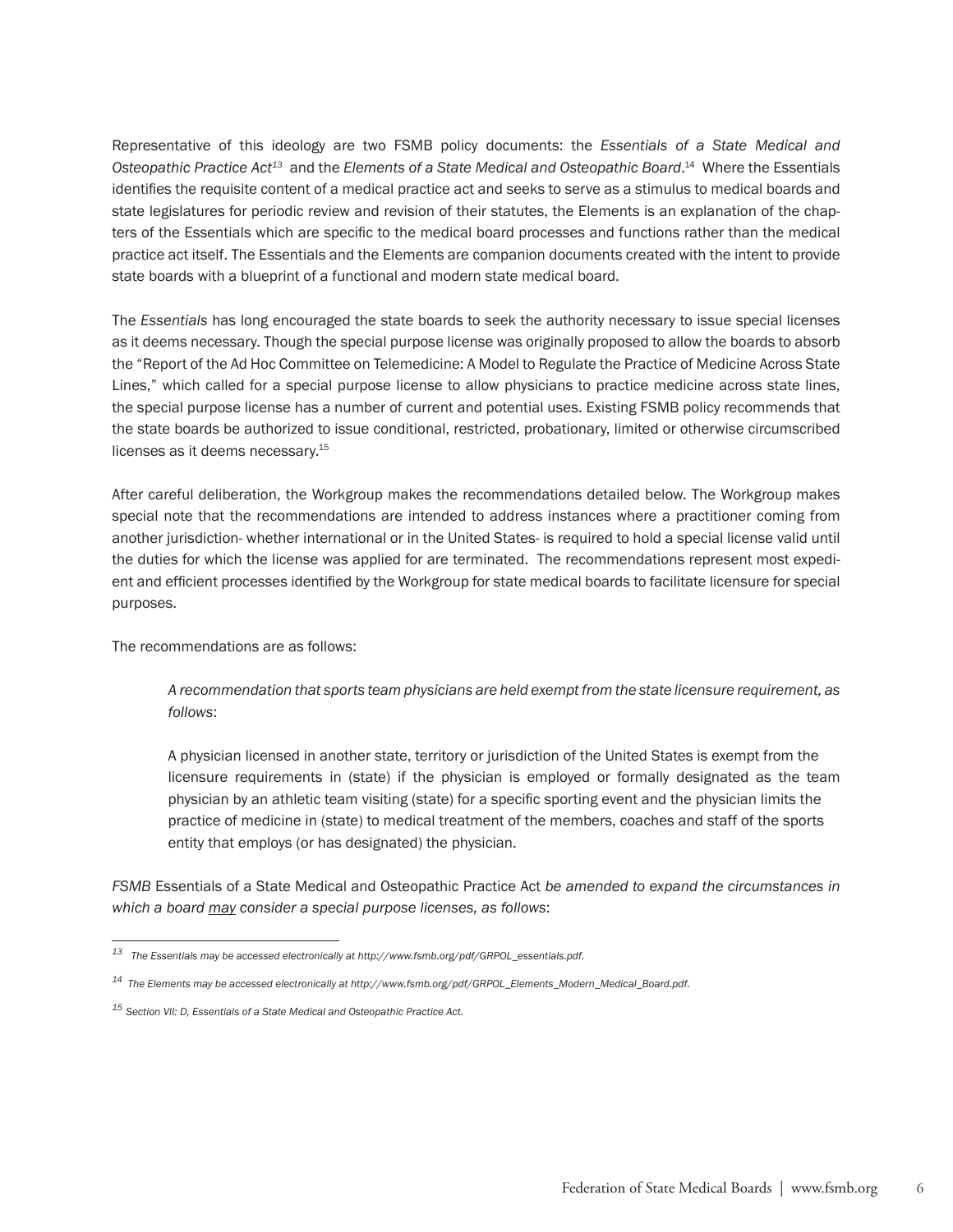Representative of this ideology are two FSMB policy documents: the *Essentials of a State Medical and Osteopathic Practice Act13* and the *Elements of a State Medical and Osteopathic Board*. 14 Where the Essentials identifies the requisite content of a medical practice act and seeks to serve as a stimulus to medical boards and state legislatures for periodic review and revision of their statutes, the Elements is an explanation of the chapters of the Essentials which are specific to the medical board processes and functions rather than the medical practice act itself. The Essentials and the Elements are companion documents created with the intent to provide state boards with a blueprint of a functional and modern state medical board.

The *Essentials* has long encouraged the state boards to seek the authority necessary to issue special licenses as it deems necessary. Though the special purpose license was originally proposed to allow the boards to absorb the "Report of the Ad Hoc Committee on Telemedicine: A Model to Regulate the Practice of Medicine Across State Lines," which called for a special purpose license to allow physicians to practice medicine across state lines, the special purpose license has a number of current and potential uses. Existing FSMB policy recommends that the state boards be authorized to issue conditional, restricted, probationary, limited or otherwise circumscribed licenses as it deems necessary.15

After careful deliberation, the Workgroup makes the recommendations detailed below. The Workgroup makes special note that the recommendations are intended to address instances where a practitioner coming from another jurisdiction- whether international or in the United States- is required to hold a special license valid until the duties for which the license was applied for are terminated. The recommendations represent most expedient and efficient processes identified by the Workgroup for state medical boards to facilitate licensure for special purposes.

The recommendations are as follows:

*A recommendation that sports team physicians are held exempt from the state licensure requirement, as follows*:

A physician licensed in another state, territory or jurisdiction of the United States is exempt from the licensure requirements in (state) if the physician is employed or formally designated as the team physician by an athletic team visiting (state) for a specific sporting event and the physician limits the practice of medicine in (state) to medical treatment of the members, coaches and staff of the sports entity that employs (or has designated) the physician.

*FSMB* Essentials of a State Medical and Osteopathic Practice Act *be amended to expand the circumstances in which a board may consider a special purpose licenses, as follows*:

*<sup>13</sup> The Essentials may be accessed electronically at http://www.fsmb.org/pdf/GRPOL\_essentials.pdf.*

*<sup>14</sup> The Elements may be accessed electronically at http://www.fsmb.org/pdf/GRPOL\_Elements\_Modern\_Medical\_Board.pdf.* 

*<sup>15</sup> Section VII: D, Essentials of a State Medical and Osteopathic Practice Act.*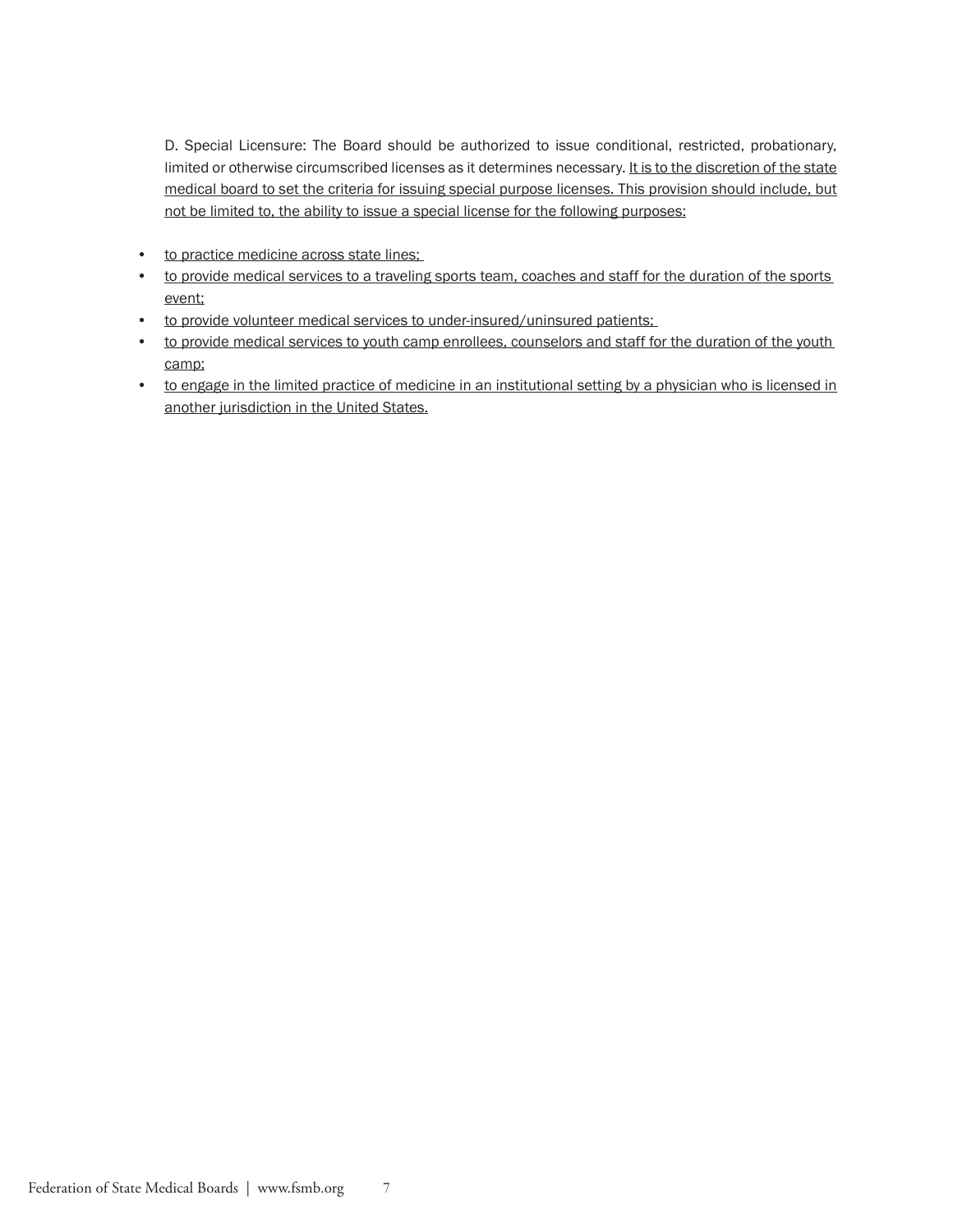D. Special Licensure: The Board should be authorized to issue conditional, restricted, probationary, limited or otherwise circumscribed licenses as it determines necessary. It is to the discretion of the state medical board to set the criteria for issuing special purpose licenses. This provision should include, but not be limited to, the ability to issue a special license for the following purposes:

- to practice medicine across state lines;
- to provide medical services to a traveling sports team, coaches and staff for the duration of the sports event;
- to provide volunteer medical services to under-insured/uninsured patients;
- to provide medical services to youth camp enrollees, counselors and staff for the duration of the youth camp;
- to engage in the limited practice of medicine in an institutional setting by a physician who is licensed in another jurisdiction in the United States.